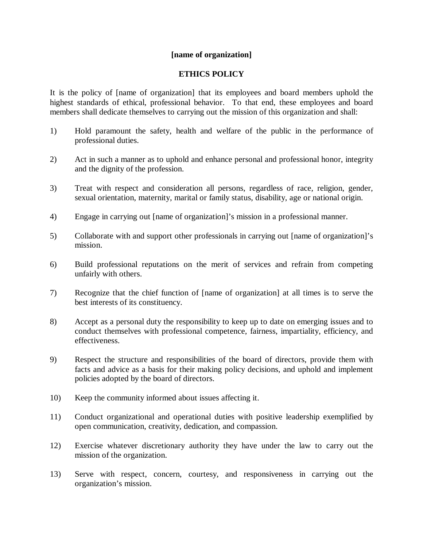## **[name of organization]**

## **ETHICS POLICY**

It is the policy of [name of organization] that its employees and board members uphold the highest standards of ethical, professional behavior. To that end, these employees and board members shall dedicate themselves to carrying out the mission of this organization and shall:

- 1) Hold paramount the safety, health and welfare of the public in the performance of professional duties.
- 2) Act in such a manner as to uphold and enhance personal and professional honor, integrity and the dignity of the profession.
- 3) Treat with respect and consideration all persons, regardless of race, religion, gender, sexual orientation, maternity, marital or family status, disability, age or national origin.
- 4) Engage in carrying out [name of organization]'s mission in a professional manner.
- 5) Collaborate with and support other professionals in carrying out [name of organization]'s mission.
- 6) Build professional reputations on the merit of services and refrain from competing unfairly with others.
- 7) Recognize that the chief function of [name of organization] at all times is to serve the best interests of its constituency.
- 8) Accept as a personal duty the responsibility to keep up to date on emerging issues and to conduct themselves with professional competence, fairness, impartiality, efficiency, and effectiveness.
- 9) Respect the structure and responsibilities of the board of directors, provide them with facts and advice as a basis for their making policy decisions, and uphold and implement policies adopted by the board of directors.
- 10) Keep the community informed about issues affecting it.
- 11) Conduct organizational and operational duties with positive leadership exemplified by open communication, creativity, dedication, and compassion.
- 12) Exercise whatever discretionary authority they have under the law to carry out the mission of the organization.
- 13) Serve with respect, concern, courtesy, and responsiveness in carrying out the organization's mission.